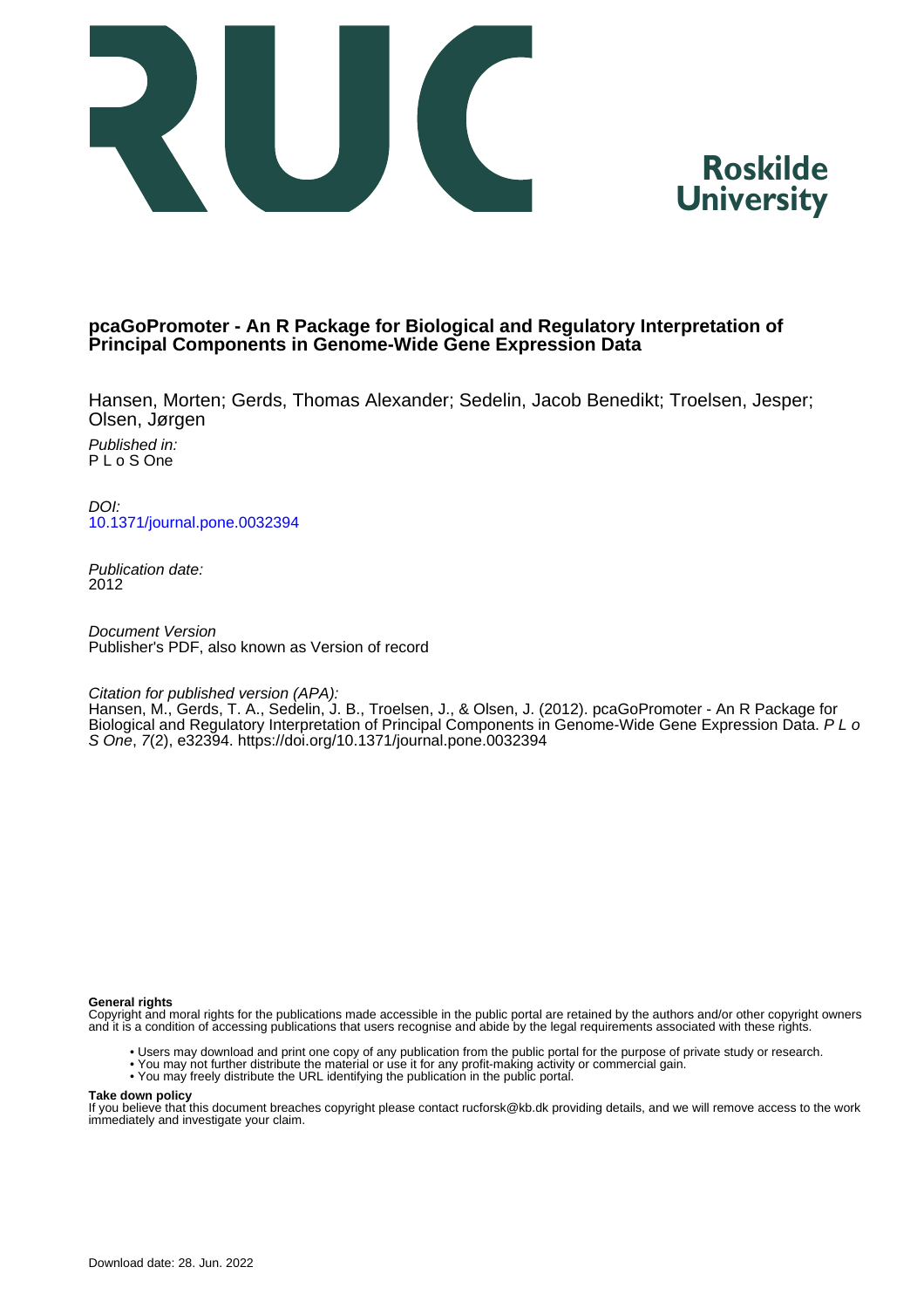



# **pcaGoPromoter - An R Package for Biological and Regulatory Interpretation of Principal Components in Genome-Wide Gene Expression Data**

Hansen, Morten; Gerds, Thomas Alexander; Sedelin, Jacob Benedikt; Troelsen, Jesper; Olsen, Jørgen

Published in: P L o S One

DOI: [10.1371/journal.pone.0032394](https://doi.org/10.1371/journal.pone.0032394)

Publication date: 2012

Document Version Publisher's PDF, also known as Version of record

Citation for published version (APA):

Hansen, M., Gerds, T. A., Sedelin, J. B., Troelsen, J., & Olsen, J. (2012). pcaGoPromoter - An R Package for Biological and Regulatory Interpretation of Principal Components in Genome-Wide Gene Expression Data. P L o S One, 7(2), e32394.<https://doi.org/10.1371/journal.pone.0032394>

### **General rights**

Copyright and moral rights for the publications made accessible in the public portal are retained by the authors and/or other copyright owners and it is a condition of accessing publications that users recognise and abide by the legal requirements associated with these rights.

- Users may download and print one copy of any publication from the public portal for the purpose of private study or research.
- You may not further distribute the material or use it for any profit-making activity or commercial gain.
- You may freely distribute the URL identifying the publication in the public portal.

### **Take down policy**

If you believe that this document breaches copyright please contact rucforsk@kb.dk providing details, and we will remove access to the work immediately and investigate your claim.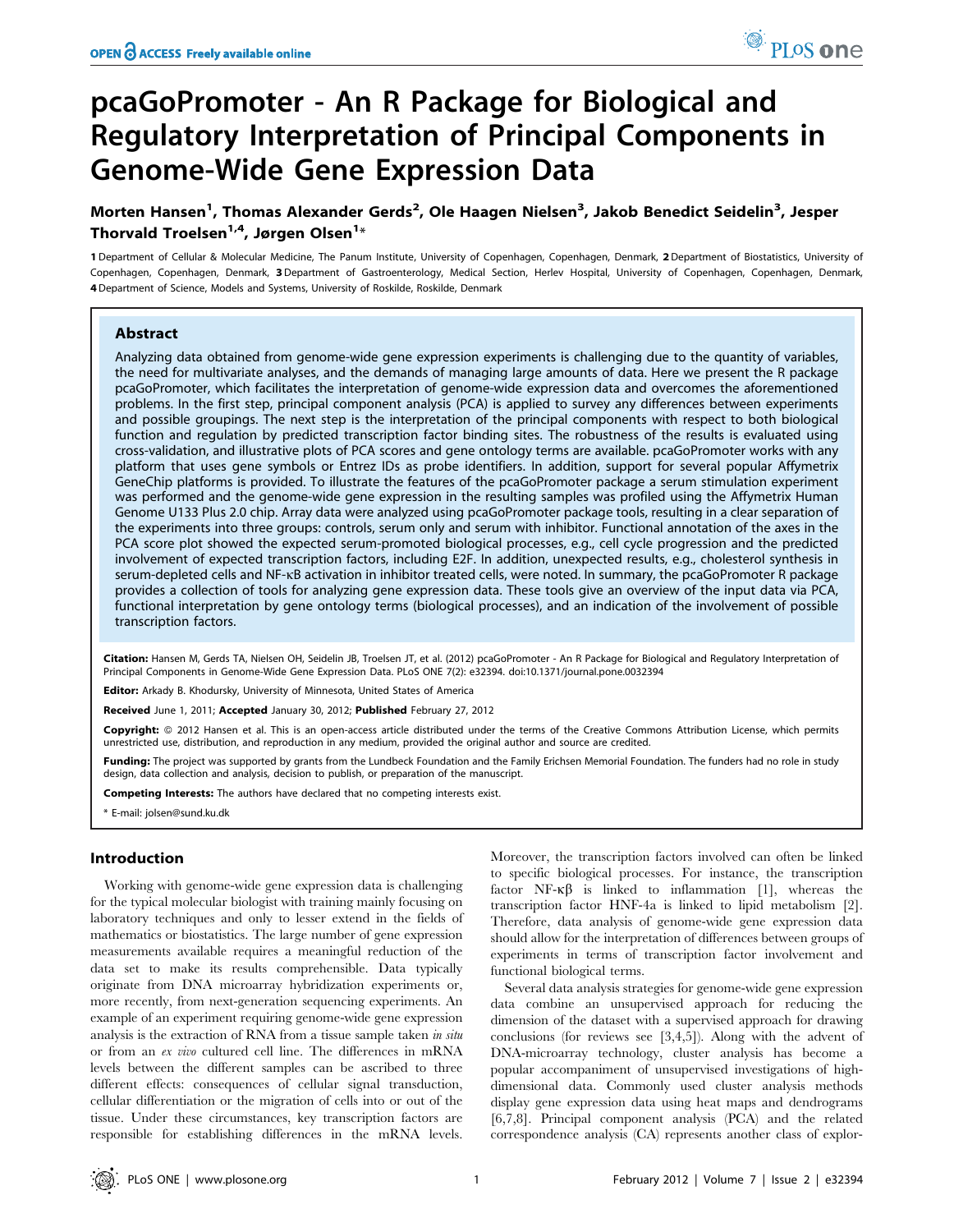# pcaGoPromoter - An R Package for Biological and Regulatory Interpretation of Principal Components in Genome-Wide Gene Expression Data

# Morten Hansen<sup>1</sup>, Thomas Alexander Gerds<sup>2</sup>, Ole Haagen Nielsen<sup>3</sup>, Jakob Benedict Seidelin<sup>3</sup>, Jesper Thorvald Troelsen $^{1,4}$ , Jørgen Olsen $^{1_\ast}$

1 Department of Cellular & Molecular Medicine, The Panum Institute, University of Copenhagen, Copenhagen, Denmark, 2 Department of Biostatistics, University of Copenhagen, Copenhagen, Denmark, 3 Department of Gastroenterology, Medical Section, Herlev Hospital, University of Copenhagen, Copenhagen, Denmark, 4 Department of Science, Models and Systems, University of Roskilde, Roskilde, Denmark

### Abstract

Analyzing data obtained from genome-wide gene expression experiments is challenging due to the quantity of variables, the need for multivariate analyses, and the demands of managing large amounts of data. Here we present the R package pcaGoPromoter, which facilitates the interpretation of genome-wide expression data and overcomes the aforementioned problems. In the first step, principal component analysis (PCA) is applied to survey any differences between experiments and possible groupings. The next step is the interpretation of the principal components with respect to both biological function and regulation by predicted transcription factor binding sites. The robustness of the results is evaluated using cross-validation, and illustrative plots of PCA scores and gene ontology terms are available. pcaGoPromoter works with any platform that uses gene symbols or Entrez IDs as probe identifiers. In addition, support for several popular Affymetrix GeneChip platforms is provided. To illustrate the features of the pcaGoPromoter package a serum stimulation experiment was performed and the genome-wide gene expression in the resulting samples was profiled using the Affymetrix Human Genome U133 Plus 2.0 chip. Array data were analyzed using pcaGoPromoter package tools, resulting in a clear separation of the experiments into three groups: controls, serum only and serum with inhibitor. Functional annotation of the axes in the PCA score plot showed the expected serum-promoted biological processes, e.g., cell cycle progression and the predicted involvement of expected transcription factors, including E2F. In addition, unexpected results, e.g., cholesterol synthesis in serum-depleted cells and NF-kB activation in inhibitor treated cells, were noted. In summary, the pcaGoPromoter R package provides a collection of tools for analyzing gene expression data. These tools give an overview of the input data via PCA, functional interpretation by gene ontology terms (biological processes), and an indication of the involvement of possible transcription factors.

Citation: Hansen M, Gerds TA, Nielsen OH, Seidelin JB, Troelsen JT, et al. (2012) pcaGoPromoter - An R Package for Biological and Regulatory Interpretation of Principal Components in Genome-Wide Gene Expression Data. PLoS ONE 7(2): e32394. doi:10.1371/journal.pone.0032394

Editor: Arkady B. Khodursky, University of Minnesota, United States of America

Received June 1, 2011; Accepted January 30, 2012; Published February 27, 2012

Copyright: © 2012 Hansen et al. This is an open-access article distributed under the terms of the Creative Commons Attribution License, which permits unrestricted use, distribution, and reproduction in any medium, provided the original author and source are credited.

Funding: The project was supported by grants from the Lundbeck Foundation and the Family Erichsen Memorial Foundation. The funders had no role in study design, data collection and analysis, decision to publish, or preparation of the manuscript.

Competing Interests: The authors have declared that no competing interests exist.

\* E-mail: jolsen@sund.ku.dk

# Introduction

Working with genome-wide gene expression data is challenging for the typical molecular biologist with training mainly focusing on laboratory techniques and only to lesser extend in the fields of mathematics or biostatistics. The large number of gene expression measurements available requires a meaningful reduction of the data set to make its results comprehensible. Data typically originate from DNA microarray hybridization experiments or, more recently, from next-generation sequencing experiments. An example of an experiment requiring genome-wide gene expression analysis is the extraction of RNA from a tissue sample taken in situ or from an ex vivo cultured cell line. The differences in mRNA levels between the different samples can be ascribed to three different effects: consequences of cellular signal transduction, cellular differentiation or the migration of cells into or out of the tissue. Under these circumstances, key transcription factors are responsible for establishing differences in the mRNA levels.

Moreover, the transcription factors involved can often be linked to specific biological processes. For instance, the transcription factor NF- $\kappa\beta$  is linked to inflammation [1], whereas the transcription factor HNF-4a is linked to lipid metabolism [2]. Therefore, data analysis of genome-wide gene expression data should allow for the interpretation of differences between groups of experiments in terms of transcription factor involvement and functional biological terms.

Several data analysis strategies for genome-wide gene expression data combine an unsupervised approach for reducing the dimension of the dataset with a supervised approach for drawing conclusions (for reviews see [3,4,5]). Along with the advent of DNA-microarray technology, cluster analysis has become a popular accompaniment of unsupervised investigations of highdimensional data. Commonly used cluster analysis methods display gene expression data using heat maps and dendrograms [6,7,8]. Principal component analysis (PCA) and the related correspondence analysis (CA) represents another class of explor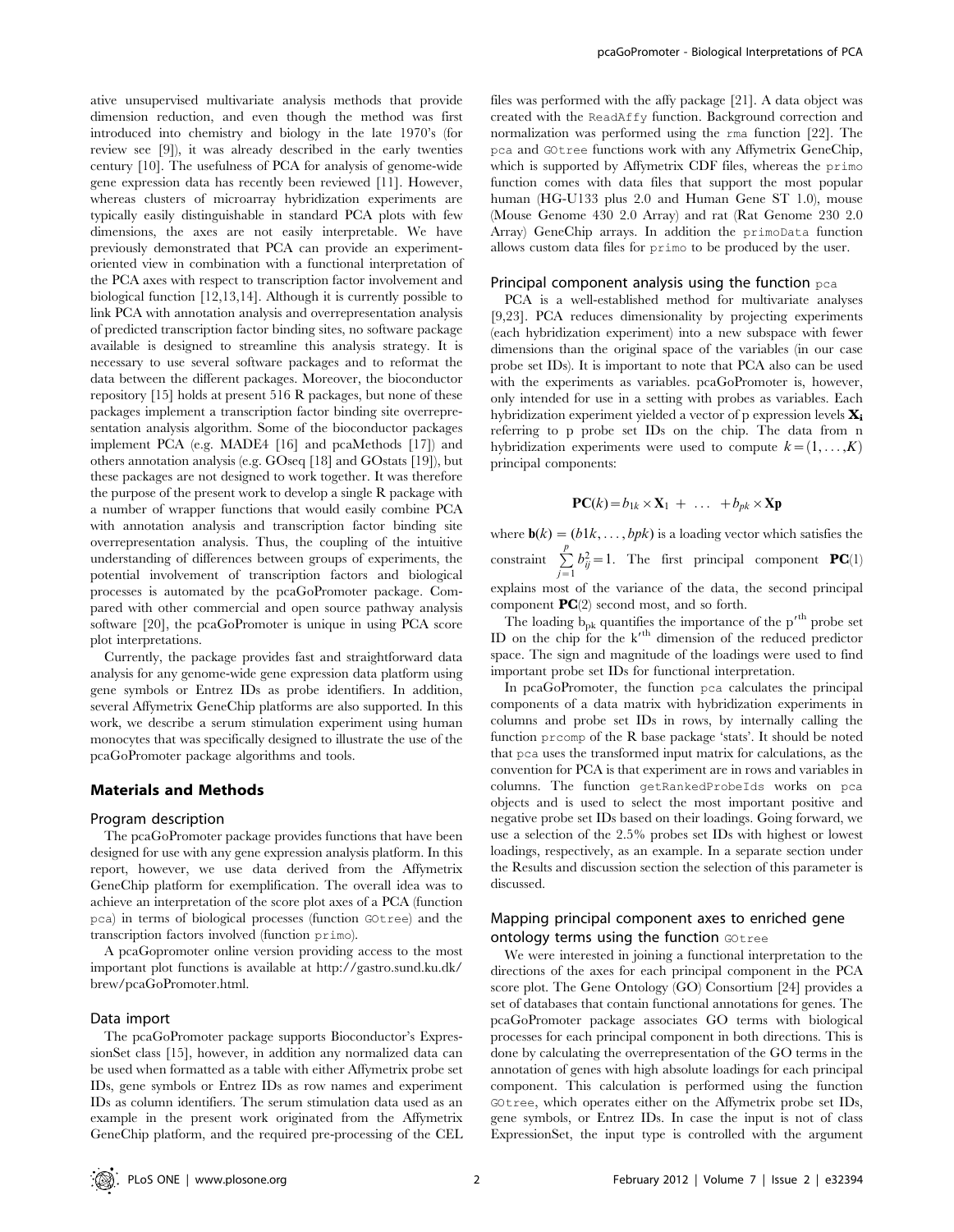ative unsupervised multivariate analysis methods that provide dimension reduction, and even though the method was first introduced into chemistry and biology in the late 1970's (for review see [9]), it was already described in the early twenties century [10]. The usefulness of PCA for analysis of genome-wide gene expression data has recently been reviewed [11]. However, whereas clusters of microarray hybridization experiments are typically easily distinguishable in standard PCA plots with few dimensions, the axes are not easily interpretable. We have previously demonstrated that PCA can provide an experimentoriented view in combination with a functional interpretation of the PCA axes with respect to transcription factor involvement and biological function [12,13,14]. Although it is currently possible to link PCA with annotation analysis and overrepresentation analysis of predicted transcription factor binding sites, no software package available is designed to streamline this analysis strategy. It is necessary to use several software packages and to reformat the data between the different packages. Moreover, the bioconductor repository [15] holds at present 516 R packages, but none of these packages implement a transcription factor binding site overrepresentation analysis algorithm. Some of the bioconductor packages implement PCA (e.g. MADE4 [16] and pcaMethods [17]) and others annotation analysis (e.g. GOseq [18] and GOstats [19]), but these packages are not designed to work together. It was therefore the purpose of the present work to develop a single R package with a number of wrapper functions that would easily combine PCA with annotation analysis and transcription factor binding site overrepresentation analysis. Thus, the coupling of the intuitive understanding of differences between groups of experiments, the potential involvement of transcription factors and biological processes is automated by the pcaGoPromoter package. Compared with other commercial and open source pathway analysis software [20], the pcaGoPromoter is unique in using PCA score plot interpretations.

Currently, the package provides fast and straightforward data analysis for any genome-wide gene expression data platform using gene symbols or Entrez IDs as probe identifiers. In addition, several Affymetrix GeneChip platforms are also supported. In this work, we describe a serum stimulation experiment using human monocytes that was specifically designed to illustrate the use of the pcaGoPromoter package algorithms and tools.

### Materials and Methods

### Program description

The pcaGoPromoter package provides functions that have been designed for use with any gene expression analysis platform. In this report, however, we use data derived from the Affymetrix GeneChip platform for exemplification. The overall idea was to achieve an interpretation of the score plot axes of a PCA (function pca) in terms of biological processes (function GOtree) and the transcription factors involved (function primo).

A pcaGopromoter online version providing access to the most important plot functions is available at http://gastro.sund.ku.dk/ brew/pcaGoPromoter.html.

### Data import

The pcaGoPromoter package supports Bioconductor's ExpressionSet class [15], however, in addition any normalized data can be used when formatted as a table with either Affymetrix probe set IDs, gene symbols or Entrez IDs as row names and experiment IDs as column identifiers. The serum stimulation data used as an example in the present work originated from the Affymetrix GeneChip platform, and the required pre-processing of the CEL files was performed with the affy package [21]. A data object was created with the ReadAffy function. Background correction and normalization was performed using the rma function [22]. The pca and GOtree functions work with any Affymetrix GeneChip, which is supported by Affymetrix CDF files, whereas the primo function comes with data files that support the most popular human (HG-U133 plus 2.0 and Human Gene ST 1.0), mouse (Mouse Genome 430 2.0 Array) and rat (Rat Genome 230 2.0 Array) GeneChip arrays. In addition the primoData function allows custom data files for primo to be produced by the user.

### Principal component analysis using the function pca

PCA is a well-established method for multivariate analyses [9,23]. PCA reduces dimensionality by projecting experiments (each hybridization experiment) into a new subspace with fewer dimensions than the original space of the variables (in our case probe set IDs). It is important to note that PCA also can be used with the experiments as variables. pcaGoPromoter is, however, only intended for use in a setting with probes as variables. Each hybridization experiment yielded a vector of p expression levels  $\mathbf{X}_i$ referring to p probe set IDs on the chip. The data from n hybridization experiments were used to compute  $k = (1, \ldots, K)$ principal components:

$$
\mathbf{PC}(k) = b_{1k} \times \mathbf{X}_1 + \ldots + b_{pk} \times \mathbf{Xp}
$$

where  $\mathbf{b}(k) = (b1k, \dots, bpk)$  is a loading vector which satisfies the constraint  $\sum_{j=1}^{p} b_{ij}^2 = 1$ . The first principal component **PC**(1) explains most of the variance of the data, the second principal component  $\mathbf{PC}(2)$  second most, and so forth.

The loading  $b_{pk}$  quantifies the importance of the  $p'^{th}$  probe set ID on the chip for the k<sup>th</sup> dimension of the reduced predictor space. The sign and magnitude of the loadings were used to find important probe set IDs for functional interpretation.

In pcaGoPromoter, the function pca calculates the principal components of a data matrix with hybridization experiments in columns and probe set IDs in rows, by internally calling the function prcomp of the R base package 'stats'. It should be noted that pca uses the transformed input matrix for calculations, as the convention for PCA is that experiment are in rows and variables in columns. The function getRankedProbeIds works on pca objects and is used to select the most important positive and negative probe set IDs based on their loadings. Going forward, we use a selection of the 2.5% probes set IDs with highest or lowest loadings, respectively, as an example. In a separate section under the Results and discussion section the selection of this parameter is discussed.

# Mapping principal component axes to enriched gene ontology terms using the function GOtree

We were interested in joining a functional interpretation to the directions of the axes for each principal component in the PCA score plot. The Gene Ontology (GO) Consortium [24] provides a set of databases that contain functional annotations for genes. The pcaGoPromoter package associates GO terms with biological processes for each principal component in both directions. This is done by calculating the overrepresentation of the GO terms in the annotation of genes with high absolute loadings for each principal component. This calculation is performed using the function GOtree, which operates either on the Affymetrix probe set IDs, gene symbols, or Entrez IDs. In case the input is not of class ExpressionSet, the input type is controlled with the argument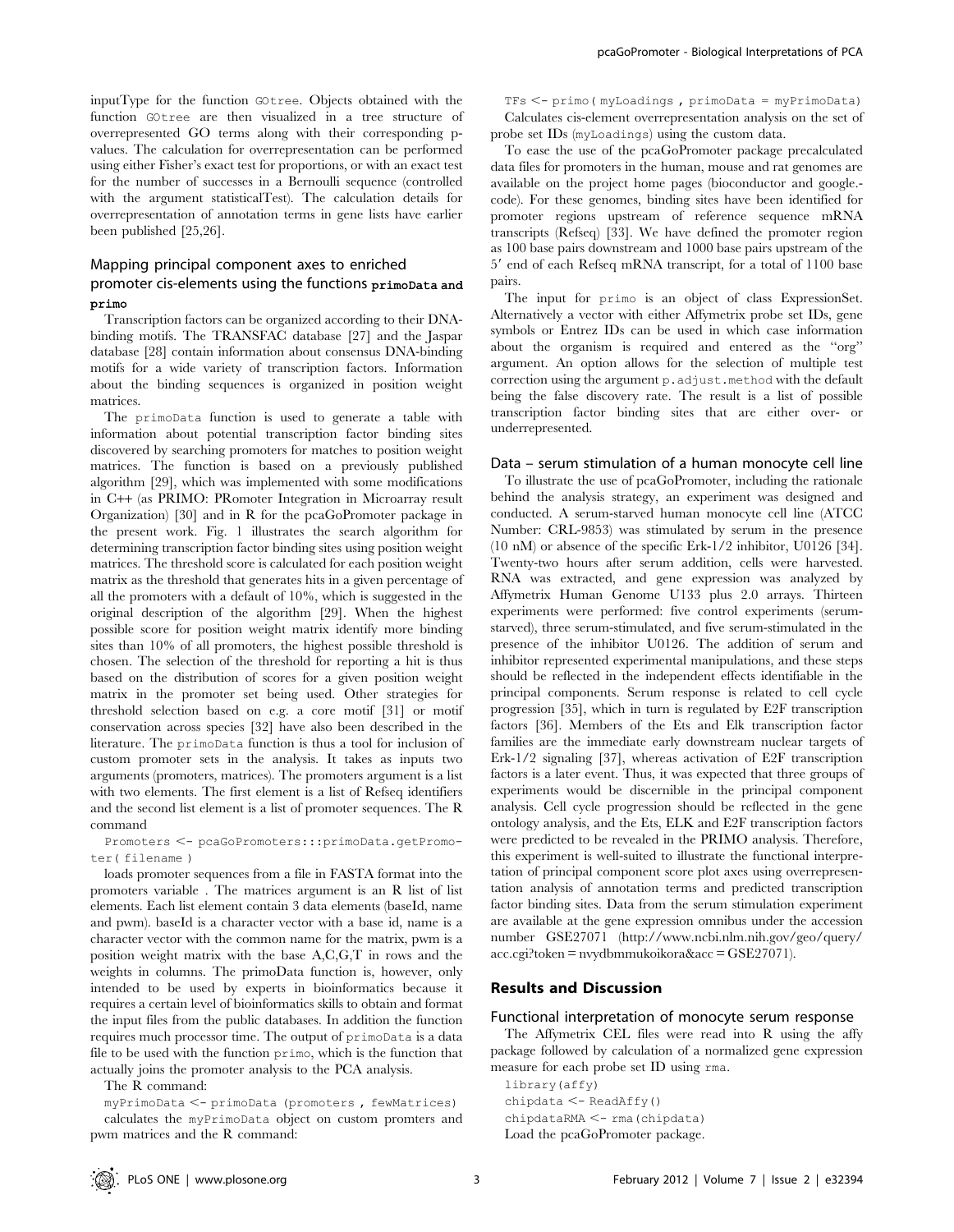inputType for the function GOtree. Objects obtained with the function GOtree are then visualized in a tree structure of overrepresented GO terms along with their corresponding pvalues. The calculation for overrepresentation can be performed using either Fisher's exact test for proportions, or with an exact test for the number of successes in a Bernoulli sequence (controlled with the argument statisticalTest). The calculation details for overrepresentation of annotation terms in gene lists have earlier been published [25,26].

# Mapping principal component axes to enriched promoter cis-elements using the functions primoData and primo

Transcription factors can be organized according to their DNAbinding motifs. The TRANSFAC database [27] and the Jaspar database [28] contain information about consensus DNA-binding motifs for a wide variety of transcription factors. Information about the binding sequences is organized in position weight matrices.

The primoData function is used to generate a table with information about potential transcription factor binding sites discovered by searching promoters for matches to position weight matrices. The function is based on a previously published algorithm [29], which was implemented with some modifications in C++ (as PRIMO: PRomoter Integration in Microarray result Organization) [30] and in R for the pcaGoPromoter package in the present work. Fig. 1 illustrates the search algorithm for determining transcription factor binding sites using position weight matrices. The threshold score is calculated for each position weight matrix as the threshold that generates hits in a given percentage of all the promoters with a default of 10%, which is suggested in the original description of the algorithm [29]. When the highest possible score for position weight matrix identify more binding sites than 10% of all promoters, the highest possible threshold is chosen. The selection of the threshold for reporting a hit is thus based on the distribution of scores for a given position weight matrix in the promoter set being used. Other strategies for threshold selection based on e.g. a core motif [31] or motif conservation across species [32] have also been described in the literature. The primoData function is thus a tool for inclusion of custom promoter sets in the analysis. It takes as inputs two arguments (promoters, matrices). The promoters argument is a list with two elements. The first element is a list of Refseq identifiers and the second list element is a list of promoter sequences. The R command

Promoters <- pcaGoPromoters:::primoData.getPromoter( filename )

loads promoter sequences from a file in FASTA format into the promoters variable . The matrices argument is an R list of list elements. Each list element contain 3 data elements (baseId, name and pwm). baseId is a character vector with a base id, name is a character vector with the common name for the matrix, pwm is a position weight matrix with the base A,C,G,T in rows and the weights in columns. The primoData function is, however, only intended to be used by experts in bioinformatics because it requires a certain level of bioinformatics skills to obtain and format the input files from the public databases. In addition the function requires much processor time. The output of primoData is a data file to be used with the function primo, which is the function that actually joins the promoter analysis to the PCA analysis.

The R command:

 $myPrimobata < - \text{primobata}$  (promoters, fewMatrices) calculates the myPrimoData object on custom promters and pwm matrices and the R command:

 $TFs < -$  primo ( myLoadings , primoData = myPrimoData) Calculates cis-element overrepresentation analysis on the set of probe set IDs (myLoadings) using the custom data.

To ease the use of the pcaGoPromoter package precalculated data files for promoters in the human, mouse and rat genomes are available on the project home pages (bioconductor and google. code). For these genomes, binding sites have been identified for promoter regions upstream of reference sequence mRNA transcripts (Refseq) [33]. We have defined the promoter region as 100 base pairs downstream and 1000 base pairs upstream of the 5' end of each Refseq mRNA transcript, for a total of 1100 base pairs.

The input for primo is an object of class ExpressionSet. Alternatively a vector with either Affymetrix probe set IDs, gene symbols or Entrez IDs can be used in which case information about the organism is required and entered as the ''org'' argument. An option allows for the selection of multiple test correction using the argument p.adjust.method with the default being the false discovery rate. The result is a list of possible transcription factor binding sites that are either over- or underrepresented.

### Data – serum stimulation of a human monocyte cell line

To illustrate the use of pcaGoPromoter, including the rationale behind the analysis strategy, an experiment was designed and conducted. A serum-starved human monocyte cell line (ATCC Number: CRL-9853) was stimulated by serum in the presence (10 nM) or absence of the specific Erk-1/2 inhibitor, U0126 [34]. Twenty-two hours after serum addition, cells were harvested. RNA was extracted, and gene expression was analyzed by Affymetrix Human Genome U133 plus 2.0 arrays. Thirteen experiments were performed: five control experiments (serumstarved), three serum-stimulated, and five serum-stimulated in the presence of the inhibitor U0126. The addition of serum and inhibitor represented experimental manipulations, and these steps should be reflected in the independent effects identifiable in the principal components. Serum response is related to cell cycle progression [35], which in turn is regulated by E2F transcription factors [36]. Members of the Ets and Elk transcription factor families are the immediate early downstream nuclear targets of Erk-1/2 signaling [37], whereas activation of E2F transcription factors is a later event. Thus, it was expected that three groups of experiments would be discernible in the principal component analysis. Cell cycle progression should be reflected in the gene ontology analysis, and the Ets, ELK and E2F transcription factors were predicted to be revealed in the PRIMO analysis. Therefore, this experiment is well-suited to illustrate the functional interpretation of principal component score plot axes using overrepresentation analysis of annotation terms and predicted transcription factor binding sites. Data from the serum stimulation experiment are available at the gene expression omnibus under the accession number GSE27071 (http://www.ncbi.nlm.nih.gov/geo/query/ acc.cgi?token = nvydbmmukoikora&acc = GSE27071).

### Results and Discussion

### Functional interpretation of monocyte serum response

The Affymetrix CEL files were read into R using the affy package followed by calculation of a normalized gene expression measure for each probe set ID using rma.

library(affy)  $chipdata < -$  ReadAffy() chipdataRMA <- rma (chipdata) Load the pcaGoPromoter package.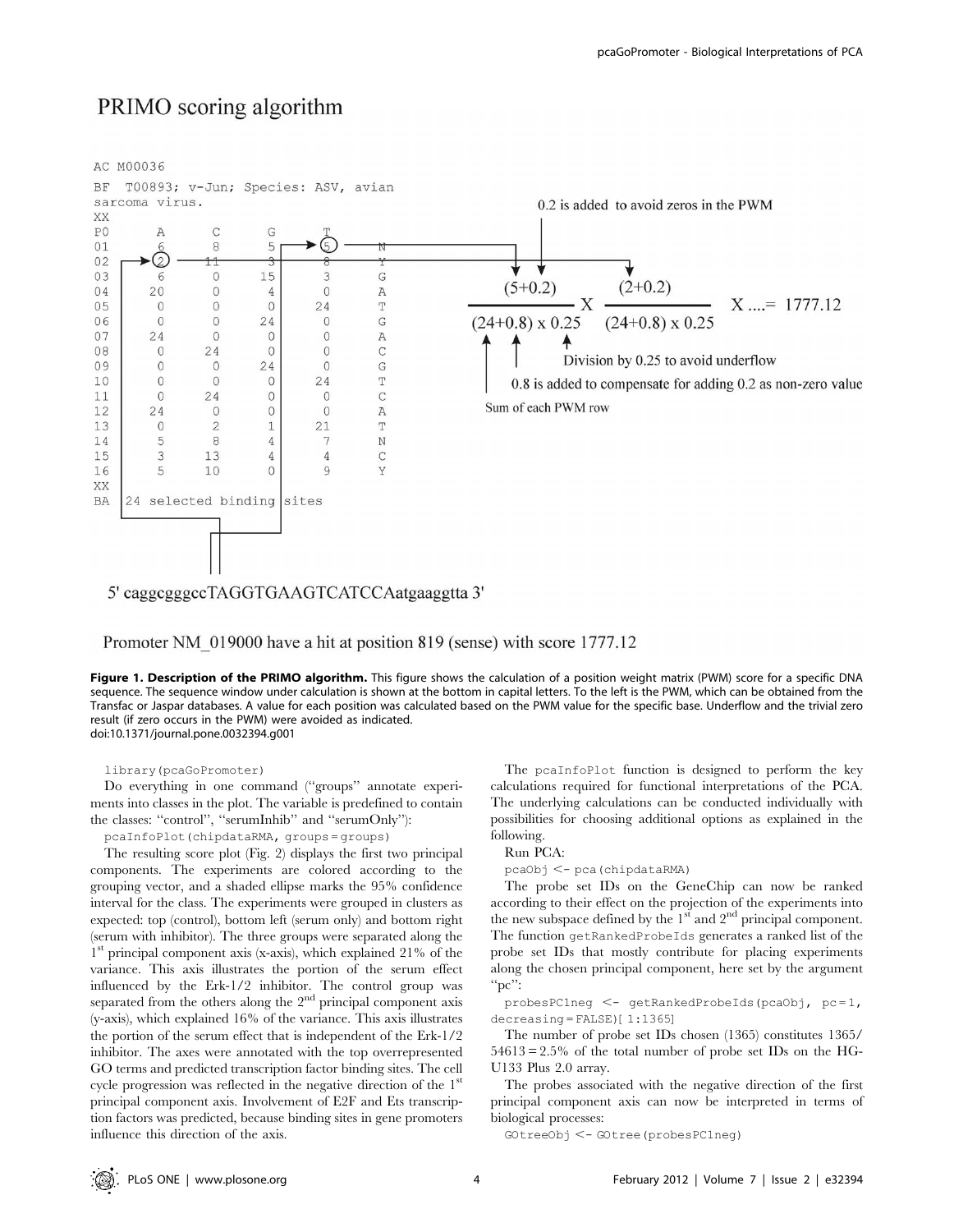# PRIMO scoring algorithm



Promoter NM 019000 have a hit at position 819 (sense) with score 1777.12

Figure 1. Description of the PRIMO algorithm. This figure shows the calculation of a position weight matrix (PWM) score for a specific DNA sequence. The sequence window under calculation is shown at the bottom in capital letters. To the left is the PWM, which can be obtained from the Transfac or Jaspar databases. A value for each position was calculated based on the PWM value for the specific base. Underflow and the trivial zero result (if zero occurs in the PWM) were avoided as indicated. doi:10.1371/journal.pone.0032394.g001

library(pcaGoPromoter)

Do everything in one command (''groups'' annotate experiments into classes in the plot. The variable is predefined to contain the classes: ''control'', ''serumInhib'' and ''serumOnly''):

pcaInfoPlot(chipdataRMA, groups = groups)

The resulting score plot (Fig. 2) displays the first two principal components. The experiments are colored according to the grouping vector, and a shaded ellipse marks the 95% confidence interval for the class. The experiments were grouped in clusters as expected: top (control), bottom left (serum only) and bottom right (serum with inhibitor). The three groups were separated along the 1st principal component axis (x-axis), which explained 21% of the variance. This axis illustrates the portion of the serum effect influenced by the Erk-1/2 inhibitor. The control group was separated from the others along the  $2<sup>nd</sup>$  principal component axis (y-axis), which explained 16% of the variance. This axis illustrates the portion of the serum effect that is independent of the Erk-1/2 inhibitor. The axes were annotated with the top overrepresented GO terms and predicted transcription factor binding sites. The cell cycle progression was reflected in the negative direction of the 1<sup>st</sup> principal component axis. Involvement of E2F and Ets transcription factors was predicted, because binding sites in gene promoters influence this direction of the axis.

The pcaInfoPlot function is designed to perform the key calculations required for functional interpretations of the PCA. The underlying calculations can be conducted individually with possibilities for choosing additional options as explained in the following.

# Run PCA:

pcaObj <- pca(chipdataRMA)

The probe set IDs on the GeneChip can now be ranked according to their effect on the projection of the experiments into the new subspace defined by the  $1<sup>st</sup>$  and  $2<sup>nd</sup>$  principal component. The function getRankedProbeIds generates a ranked list of the probe set IDs that mostly contribute for placing experiments along the chosen principal component, here set by the argument  $\mathrm{C}^{\prime\prime}$ :

probesPC1neg <- getRankedProbeIds(pcaObj, pc=1,  $decreasing = FALSE$  $[1:1365]$ 

The number of probe set IDs chosen (1365) constitutes 1365/  $54613 = 2.5\%$  of the total number of probe set IDs on the HG-U133 Plus 2.0 array.

The probes associated with the negative direction of the first principal component axis can now be interpreted in terms of biological processes:

GOtreeObj <- GOtree(probesPC1neg)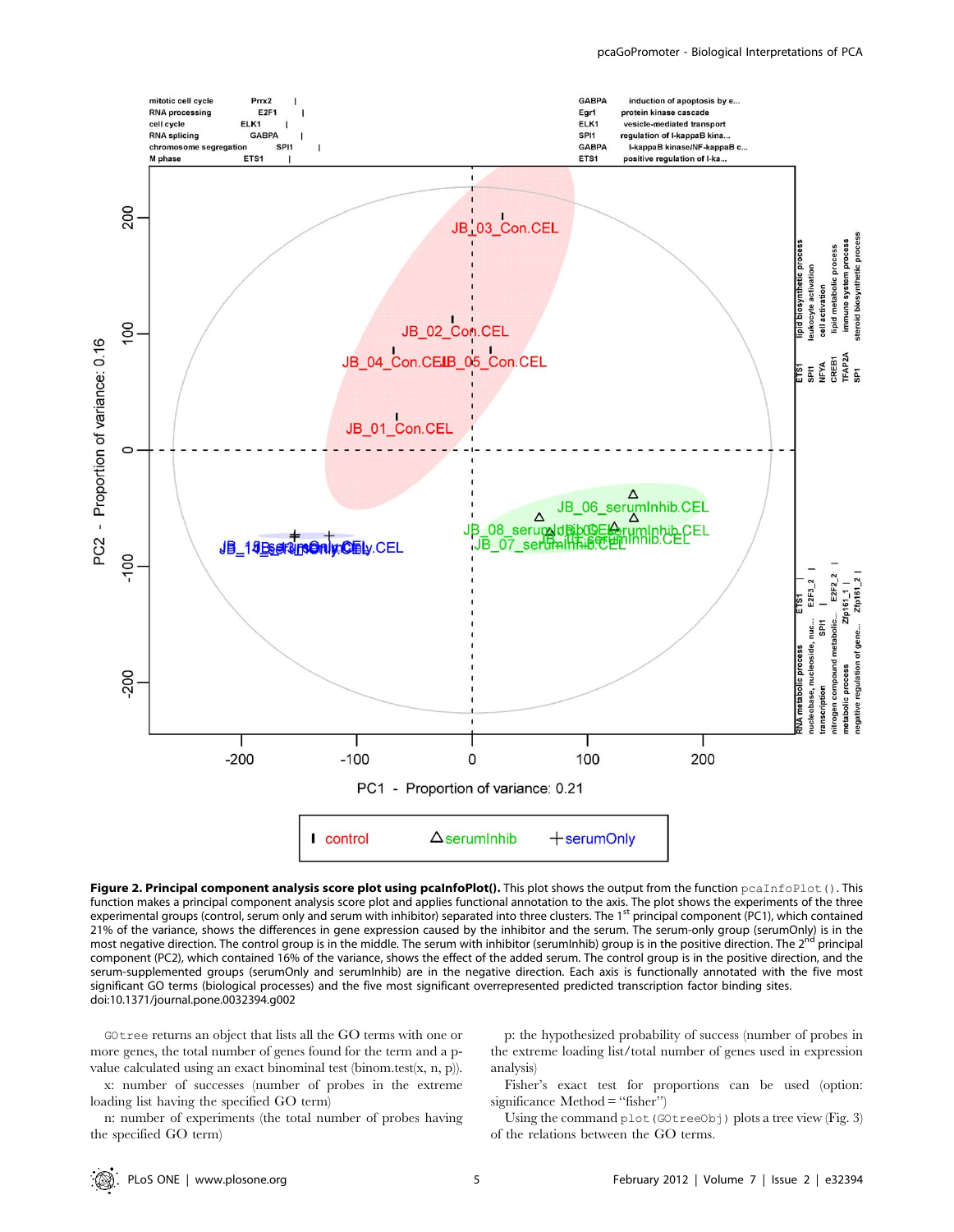

Figure 2. Principal component analysis score plot using pcaInfoPlot(). This plot shows the output from the function peaInfoPlot(). This function makes a principal component analysis score plot and applies functional annotation to the axis. The plot shows the experiments of the three experimental groups (control, serum only and serum with inhibitor) separated into three clusters. The 1<sup>st</sup> principal component (PC1), which contained 21% of the variance, shows the differences in gene expression caused by the inhibitor and the serum. The serum-only group (serumOnly) is in the most negative direction. The control group is in the middle. The serum with in most negative direction. The control group is in the middle. The serum with inhibitor (serumInhib) group is in the positive direction. The 2<sup>nd</sup> component (PC2), which contained 16% of the variance, shows the effect of the added serum. The control group is in the positive direction, and the serum-supplemented groups (serumOnly and serumInhib) are in the negative direction. Each axis is functionally annotated with the five most significant GO terms (biological processes) and the five most significant overrepresented predicted transcription factor binding sites. doi:10.1371/journal.pone.0032394.g002

GOtree returns an object that lists all the GO terms with one or more genes, the total number of genes found for the term and a pvalue calculated using an exact binominal test (binom.test(x, n, p)).

x: number of successes (number of probes in the extreme loading list having the specified GO term)

n: number of experiments (the total number of probes having the specified GO term)

p: the hypothesized probability of success (number of probes in the extreme loading list/total number of genes used in expression analysis)

Fisher's exact test for proportions can be used (option: significance Method = "fisher")

Using the command plot (GOtreeObj) plots a tree view (Fig. 3) of the relations between the GO terms.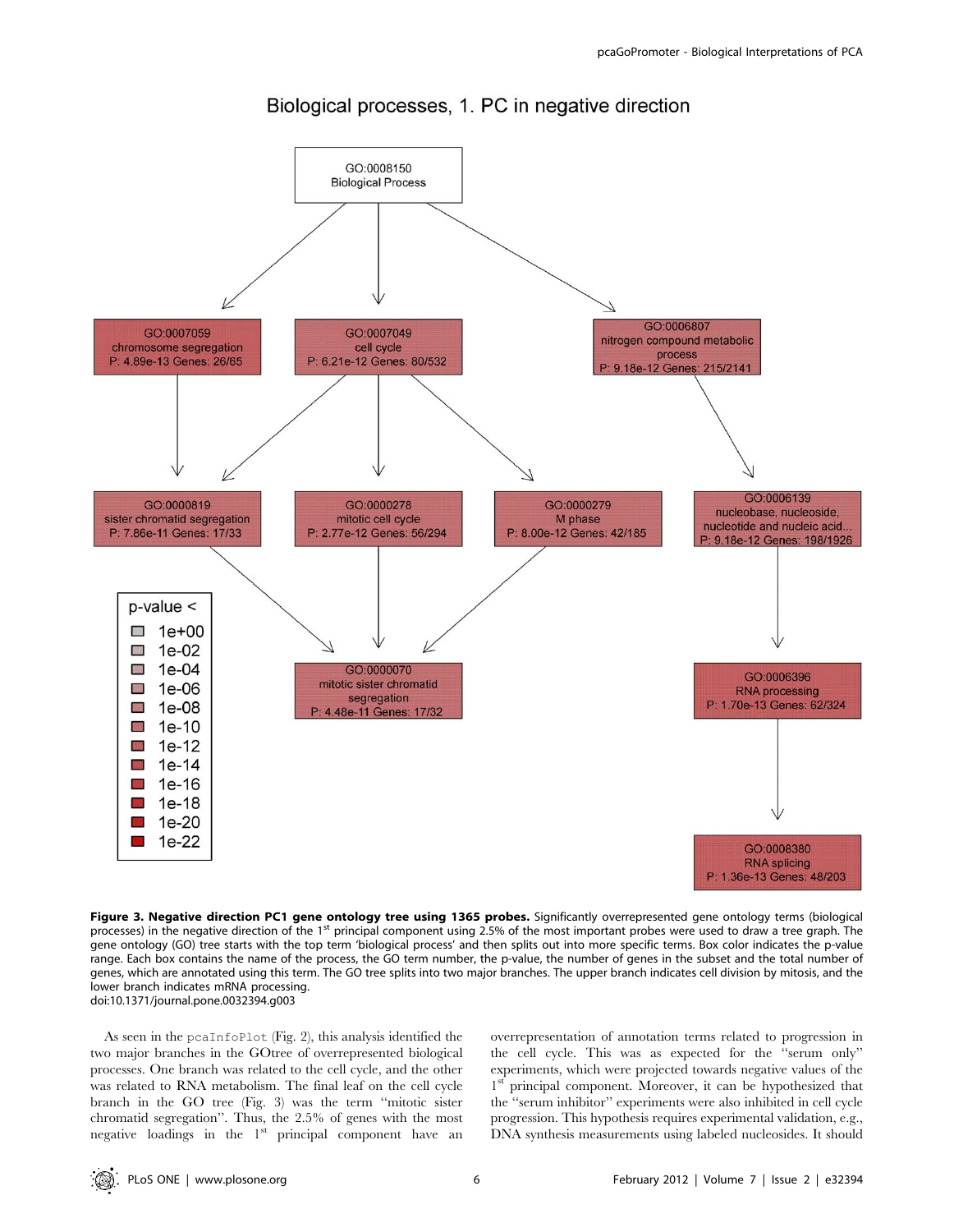

# Biological processes, 1. PC in negative direction

Figure 3. Negative direction PC1 gene ontology tree using 1365 probes. Significantly overrepresented gene ontology terms (biological processes) in the negative direction of the 1<sup>st</sup> principal component using 2.5% of the most important probes were used to draw a tree graph. The gene ontology (GO) tree starts with the top term 'biological process' and then splits out into more specific terms. Box color indicates the p-value range. Each box contains the name of the process, the GO term number, the p-value, the number of genes in the subset and the total number of genes, which are annotated using this term. The GO tree splits into two major branches. The upper branch indicates cell division by mitosis, and the lower branch indicates mRNA processing. doi:10.1371/journal.pone.0032394.g003

As seen in the pcaInfoPlot (Fig. 2), this analysis identified the two major branches in the GOtree of overrepresented biological processes. One branch was related to the cell cycle, and the other was related to RNA metabolism. The final leaf on the cell cycle branch in the GO tree (Fig. 3) was the term ''mitotic sister chromatid segregation''. Thus, the 2.5% of genes with the most negative loadings in the  $1<sup>st</sup>$  principal component have an overrepresentation of annotation terms related to progression in the cell cycle. This was as expected for the ''serum only'' experiments, which were projected towards negative values of the 1<sup>st</sup> principal component. Moreover, it can be hypothesized that the ''serum inhibitor'' experiments were also inhibited in cell cycle progression. This hypothesis requires experimental validation, e.g., DNA synthesis measurements using labeled nucleosides. It should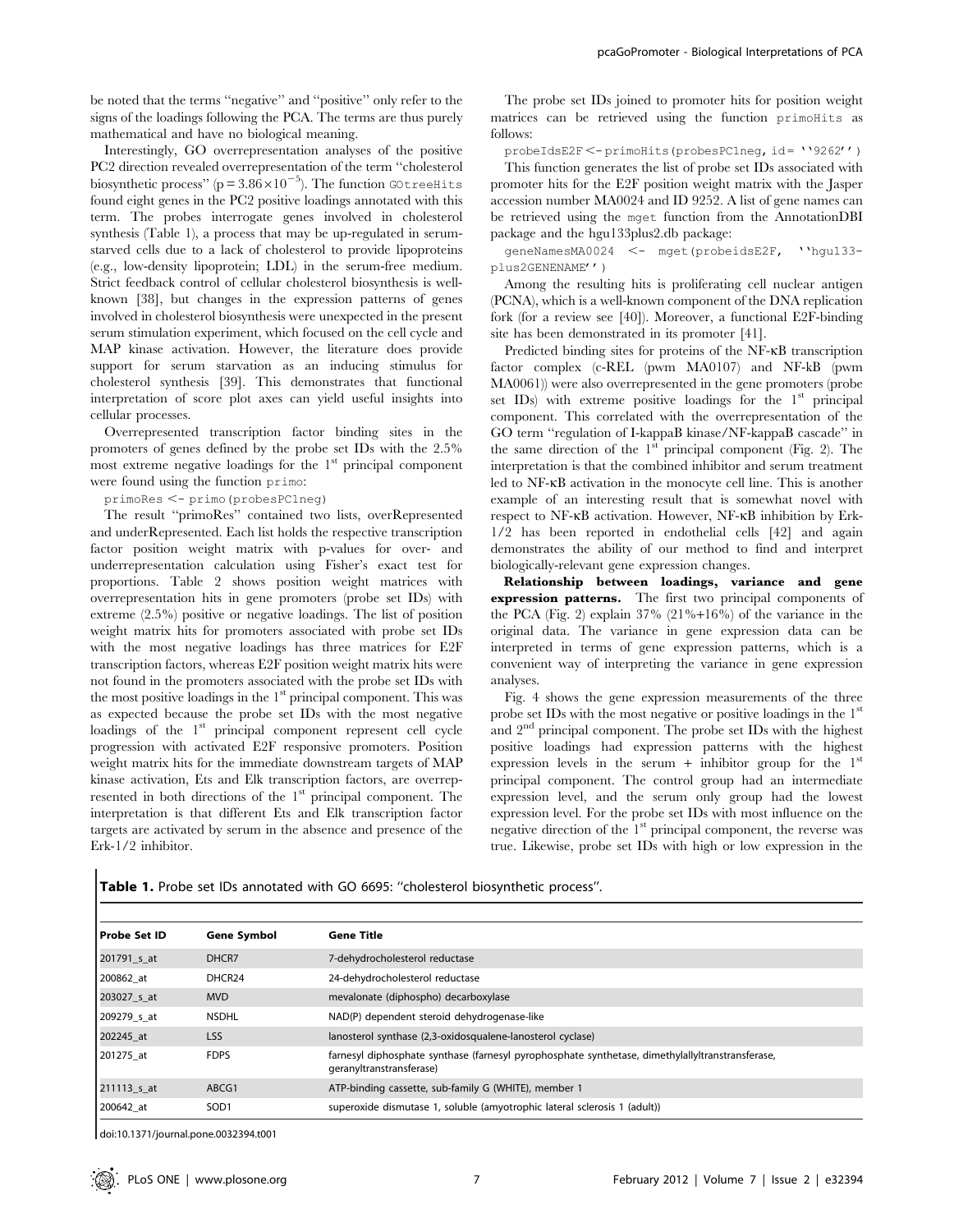be noted that the terms ''negative'' and ''positive'' only refer to the signs of the loadings following the PCA. The terms are thus purely mathematical and have no biological meaning.

Interestingly, GO overrepresentation analyses of the positive PC2 direction revealed overrepresentation of the term ''cholesterol biosynthetic process" ( $p = 3.86 \times 10^{-5}$ ). The function GOtreeHits found eight genes in the PC2 positive loadings annotated with this term. The probes interrogate genes involved in cholesterol synthesis (Table 1), a process that may be up-regulated in serumstarved cells due to a lack of cholesterol to provide lipoproteins (e.g., low-density lipoprotein; LDL) in the serum-free medium. Strict feedback control of cellular cholesterol biosynthesis is wellknown [38], but changes in the expression patterns of genes involved in cholesterol biosynthesis were unexpected in the present serum stimulation experiment, which focused on the cell cycle and MAP kinase activation. However, the literature does provide support for serum starvation as an inducing stimulus for cholesterol synthesis [39]. This demonstrates that functional interpretation of score plot axes can yield useful insights into cellular processes.

Overrepresented transcription factor binding sites in the promoters of genes defined by the probe set IDs with the 2.5% most extreme negative loadings for the  $1<sup>st</sup>$  principal component were found using the function primo:

primoRes <- primo(probesPC1neg)

The result ''primoRes'' contained two lists, overRepresented and underRepresented. Each list holds the respective transcription factor position weight matrix with p-values for over- and underrepresentation calculation using Fisher's exact test for proportions. Table 2 shows position weight matrices with overrepresentation hits in gene promoters (probe set IDs) with extreme (2.5%) positive or negative loadings. The list of position weight matrix hits for promoters associated with probe set IDs with the most negative loadings has three matrices for E2F transcription factors, whereas E2F position weight matrix hits were not found in the promoters associated with the probe set IDs with the most positive loadings in the 1<sup>st</sup> principal component. This was as expected because the probe set IDs with the most negative loadings of the 1<sup>st</sup> principal component represent cell cycle progression with activated E2F responsive promoters. Position weight matrix hits for the immediate downstream targets of MAP kinase activation, Ets and Elk transcription factors, are overrepresented in both directions of the 1<sup>st</sup> principal component. The interpretation is that different Ets and Elk transcription factor targets are activated by serum in the absence and presence of the Erk-1/2 inhibitor.

The probe set IDs joined to promoter hits for position weight matrices can be retrieved using the function primoHits as follows:

probeIdsE2F <- primoHits(probesPC1neg, id= ''9262'')

This function generates the list of probe set IDs associated with promoter hits for the E2F position weight matrix with the Jasper accession number MA0024 and ID 9252. A list of gene names can be retrieved using the mget function from the AnnotationDBI package and the hgu133plus2.db package:

geneNamesMA0024 <- mget(probeidsE2F, ''hgu133plus2GENENAME'')

Among the resulting hits is proliferating cell nuclear antigen (PCNA), which is a well-known component of the DNA replication fork (for a review see [40]). Moreover, a functional E2F-binding site has been demonstrated in its promoter [41].

Predicted binding sites for proteins of the NF-KB transcription factor complex (c-REL (pwm MA0107) and NF-kB (pwm MA0061)) were also overrepresented in the gene promoters (probe set IDs) with extreme positive loadings for the 1<sup>st</sup> principal component. This correlated with the overrepresentation of the GO term ''regulation of I-kappaB kinase/NF-kappaB cascade'' in the same direction of the 1st principal component (Fig. 2). The interpretation is that the combined inhibitor and serum treatment led to NF-kB activation in the monocyte cell line. This is another example of an interesting result that is somewhat novel with respect to NF-kB activation. However, NF-kB inhibition by Erk-1/2 has been reported in endothelial cells [42] and again demonstrates the ability of our method to find and interpret biologically-relevant gene expression changes.

Relationship between loadings, variance and gene expression patterns. The first two principal components of the PCA (Fig. 2) explain 37% (21%+16%) of the variance in the original data. The variance in gene expression data can be interpreted in terms of gene expression patterns, which is a convenient way of interpreting the variance in gene expression analyses.

Fig. 4 shows the gene expression measurements of the three probe set IDs with the most negative or positive loadings in the  $1<sup>st</sup>$ and 2<sup>nd</sup> principal component. The probe set IDs with the highest positive loadings had expression patterns with the highest expression levels in the serum + inhibitor group for the  $1<sup>st</sup>$ principal component. The control group had an intermediate expression level, and the serum only group had the lowest expression level. For the probe set IDs with most influence on the negative direction of the 1<sup>st</sup> principal component, the reverse was true. Likewise, probe set IDs with high or low expression in the

Table 1. Probe set IDs annotated with GO 6695: "cholesterol biosynthetic process".

| Probe Set ID | <b>Gene Symbol</b> | <b>Gene Title</b>                                                                                                            |
|--------------|--------------------|------------------------------------------------------------------------------------------------------------------------------|
| 201791 s at  | DHCR7              | 7-dehydrocholesterol reductase                                                                                               |
| 200862 at    | DHCR <sub>24</sub> | 24-dehydrocholesterol reductase                                                                                              |
| 203027 s at  | <b>MVD</b>         | mevalonate (diphospho) decarboxylase                                                                                         |
| 209279 s at  | <b>NSDHL</b>       | NAD(P) dependent steroid dehydrogenase-like                                                                                  |
| 202245 at    | <b>LSS</b>         | lanosterol synthase (2,3-oxidosqualene-lanosterol cyclase)                                                                   |
| 201275 at    | <b>FDPS</b>        | farnesyl diphosphate synthase (farnesyl pyrophosphate synthetase, dimethylallyltranstransferase,<br>geranyltranstransferase) |
| 211113 s at  | ABCG1              | ATP-binding cassette, sub-family G (WHITE), member 1                                                                         |
| 200642 at    | SOD <sub>1</sub>   | superoxide dismutase 1, soluble (amyotrophic lateral sclerosis 1 (adult))                                                    |
|              |                    |                                                                                                                              |

doi:10.1371/journal.pone.0032394.t001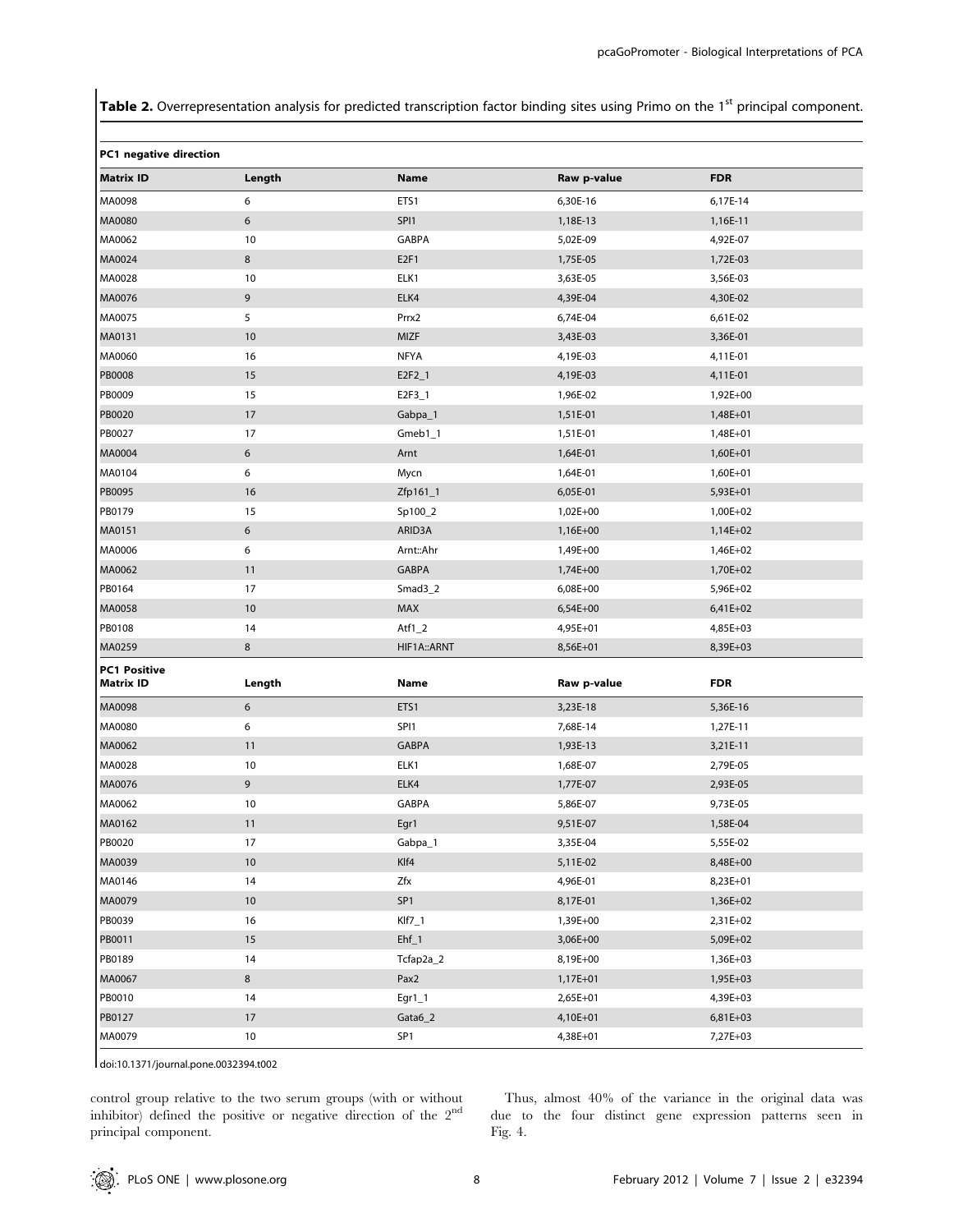Table 2. Overrepresentation analysis for predicted transcription factor binding sites using Primo on the 1<sup>st</sup> principal component.

| PC1 negative direction                  |         |                  |             |            |
|-----------------------------------------|---------|------------------|-------------|------------|
| <b>Matrix ID</b>                        | Length  | Name             | Raw p-value | <b>FDR</b> |
| MA0098                                  | 6       | ETS1             | 6,30E-16    | 6,17E-14   |
| MA0080                                  | 6       | SPI1             | 1,18E-13    | 1,16E-11   |
| MA0062                                  | 10      | GABPA            | 5,02E-09    | 4,92E-07   |
| MA0024                                  | $\bf 8$ | E <sub>2F1</sub> | 1,75E-05    | 1,72E-03   |
| MA0028                                  | 10      | ELK1             | 3,63E-05    | 3,56E-03   |
| MA0076                                  | 9       | ELK4             | 4,39E-04    | 4,30E-02   |
| MA0075                                  | 5       | Prrx2            | 6,74E-04    | 6,61E-02   |
| MA0131                                  | $10$    | MIZF             | 3,43E-03    | 3,36E-01   |
| MA0060                                  | 16      | <b>NFYA</b>      | 4,19E-03    | 4,11E-01   |
| <b>PB0008</b>                           | 15      | $E2F2_1$         | 4,19E-03    | 4,11E-01   |
| PB0009                                  | 15      | $E2F3_1$         | 1,96E-02    | 1,92E+00   |
| PB0020                                  | 17      | Gabpa_1          | 1,51E-01    | 1,48E+01   |
| PB0027                                  | 17      | $Gmeb1_1$        | 1,51E-01    | 1,48E+01   |
| MA0004                                  | 6       | Arnt             | 1,64E-01    | 1,60E+01   |
| MA0104                                  | 6       | Mycn             | 1,64E-01    | 1,60E+01   |
| PB0095                                  | 16      | Zfp161_1         | 6,05E-01    | 5,93E+01   |
| PB0179                                  | 15      | Sp100_2          | 1,02E+00    | 1,00E+02   |
| MA0151                                  | 6       | ARID3A           | 1,16E+00    | 1,14E+02   |
| MA0006                                  | 6       | Arnt::Ahr        | 1,49E+00    | 1,46E+02   |
| MA0062                                  | 11      | <b>GABPA</b>     | 1,74E+00    | 1,70E+02   |
| PB0164                                  | 17      | $Smad3_2$        | 6,08E+00    | 5,96E+02   |
| MA0058                                  | 10      | MAX              | 6,54E+00    | 6,41E+02   |
| PB0108                                  | 14      | Atf $1_2$        | 4,95E+01    | 4,85E+03   |
| MA0259                                  | 8       | HIF1A:: ARNT     | 8,56E+01    | 8,39E+03   |
| <b>PC1 Positive</b><br><b>Matrix ID</b> | Length  | <b>Name</b>      | Raw p-value | <b>FDR</b> |
| MA0098                                  | 6       | ETS1             | 3,23E-18    | 5,36E-16   |
| MA0080                                  | 6       | SPI1             | 7,68E-14    | 1,27E-11   |
| MA0062                                  | 11      | <b>GABPA</b>     | 1,93E-13    | 3,21E-11   |
| MA0028                                  | 10      | ELK1             | 1,68E-07    | 2,79E-05   |
| MA0076                                  | 9       | ELK4             | 1,77E-07    | 2,93E-05   |
| MA0062                                  | 10      | GABPA            | 5,86E-07    | 9,73E-05   |
| MA0162                                  | 11      | Egr1             | 9,51E-07    | 1,58E-04   |
| PB0020                                  | 17      | Gabpa_1          | 3,35E-04    | 5,55E-02   |
| MA0039                                  | 10      | Klf4             | 5,11E-02    | 8,48E+00   |
| MA0146                                  | 14      | Zfx              | 4,96E-01    | 8,23E+01   |
| MA0079                                  | 10      | SP <sub>1</sub>  | 8,17E-01    | 1,36E+02   |
| PB0039                                  | 16      | $Klf7_1$         | 1,39E+00    | 2,31E+02   |
| PB0011                                  | 15      | $Ehf_1$          | 3,06E+00    | 5,09E+02   |
| PB0189                                  | 14      | Tcfap2a_2        | 8,19E+00    | 1,36E+03   |
| MA0067                                  | $\bf 8$ | Pax2             | 1,17E+01    | 1,95E+03   |
| PB0010                                  | 14      | $Egr1_1$         | 2,65E+01    | 4,39E+03   |
| PB0127                                  | 17      | $Gata6_2$        | 4,10E+01    | 6,81E+03   |
| MA0079                                  | 10      | SP <sub>1</sub>  | 4,38E+01    | 7,27E+03   |

doi:10.1371/journal.pone.0032394.t002

control group relative to the two serum groups (with or without inhibitor) defined the positive or negative direction of the  $2<sup>nd</sup>$ principal component.

Thus, almost 40% of the variance in the original data was due to the four distinct gene expression patterns seen in Fig. 4.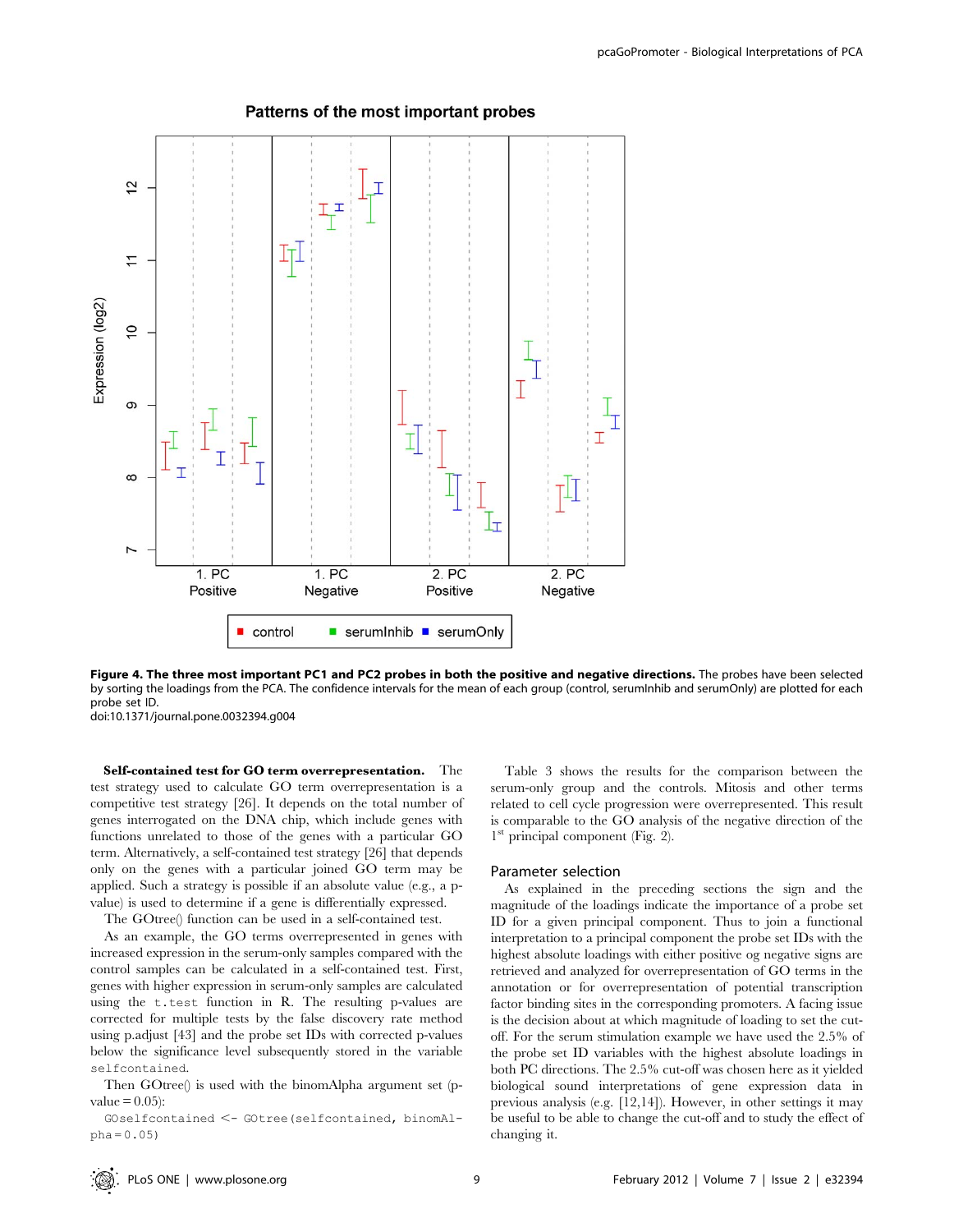

# Patterns of the most important probes

Figure 4. The three most important PC1 and PC2 probes in both the positive and negative directions. The probes have been selected by sorting the loadings from the PCA. The confidence intervals for the mean of each group (control, serumInhib and serumOnly) are plotted for each probe set ID.

doi:10.1371/journal.pone.0032394.g004

Self-contained test for GO term overrepresentation. The test strategy used to calculate GO term overrepresentation is a competitive test strategy [26]. It depends on the total number of genes interrogated on the DNA chip, which include genes with functions unrelated to those of the genes with a particular GO term. Alternatively, a self-contained test strategy [26] that depends only on the genes with a particular joined GO term may be applied. Such a strategy is possible if an absolute value (e.g., a pvalue) is used to determine if a gene is differentially expressed.

The GOtree() function can be used in a self-contained test.

As an example, the GO terms overrepresented in genes with increased expression in the serum-only samples compared with the control samples can be calculated in a self-contained test. First, genes with higher expression in serum-only samples are calculated using the t.test function in R. The resulting p-values are corrected for multiple tests by the false discovery rate method using p.adjust [43] and the probe set IDs with corrected p-values below the significance level subsequently stored in the variable selfcontained.

Then GOtree() is used with the binomAlpha argument set (pvalue  $= 0.05$ :

GOselfcontained <- GOtree(selfcontained, binomAlpha = 0.05)

Table 3 shows the results for the comparison between the serum-only group and the controls. Mitosis and other terms related to cell cycle progression were overrepresented. This result is comparable to the GO analysis of the negative direction of the  $1<sup>st</sup>$  principal component (Fig. 2).

### Parameter selection

As explained in the preceding sections the sign and the magnitude of the loadings indicate the importance of a probe set ID for a given principal component. Thus to join a functional interpretation to a principal component the probe set IDs with the highest absolute loadings with either positive og negative signs are retrieved and analyzed for overrepresentation of GO terms in the annotation or for overrepresentation of potential transcription factor binding sites in the corresponding promoters. A facing issue is the decision about at which magnitude of loading to set the cutoff. For the serum stimulation example we have used the 2.5% of the probe set ID variables with the highest absolute loadings in both PC directions. The 2.5% cut-off was chosen here as it yielded biological sound interpretations of gene expression data in previous analysis (e.g. [12,14]). However, in other settings it may be useful to be able to change the cut-off and to study the effect of changing it.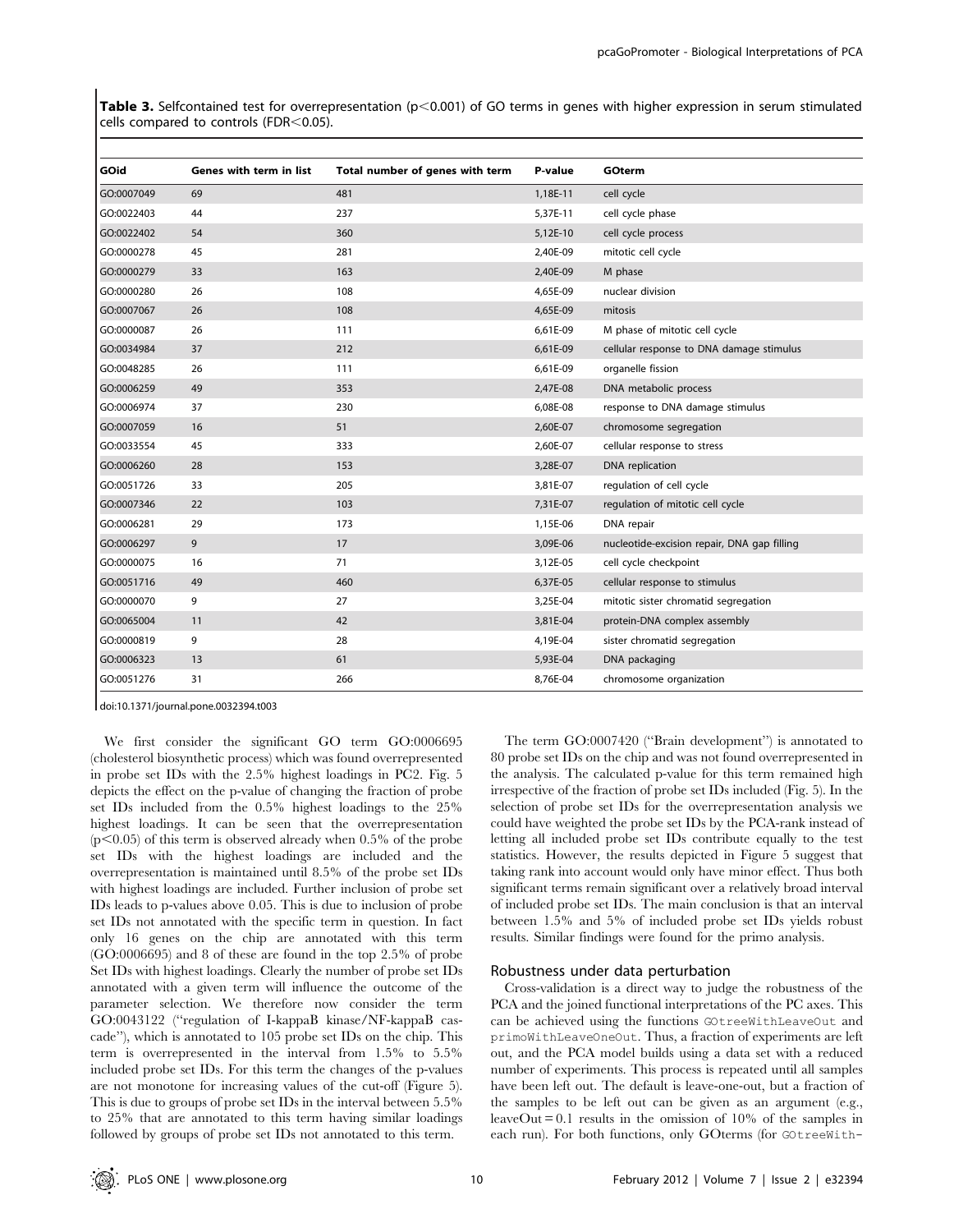Table 3. Selfcontained test for overrepresentation ( $p<0.001$ ) of GO terms in genes with higher expression in serum stimulated cells compared to controls (FDR $<$ 0.05).

| GOid       | Genes with term in list | Total number of genes with term | P-value  | <b>GOterm</b>                               |
|------------|-------------------------|---------------------------------|----------|---------------------------------------------|
| GO:0007049 | 69                      | 481                             | 1,18E-11 | cell cycle                                  |
| GO:0022403 | 44                      | 237                             | 5,37E-11 | cell cycle phase                            |
| GO:0022402 | 54                      | 360                             | 5,12E-10 | cell cycle process                          |
| GO:0000278 | 45                      | 281                             | 2,40E-09 | mitotic cell cycle                          |
| GO:0000279 | 33                      | 163                             | 2,40E-09 | M phase                                     |
| GO:0000280 | 26                      | 108                             | 4,65E-09 | nuclear division                            |
| GO:0007067 | 26                      | 108                             | 4,65E-09 | mitosis                                     |
| GO:0000087 | 26                      | 111                             | 6,61E-09 | M phase of mitotic cell cycle               |
| GO:0034984 | 37                      | 212                             | 6,61E-09 | cellular response to DNA damage stimulus    |
| GO:0048285 | 26                      | 111                             | 6,61E-09 | organelle fission                           |
| GO:0006259 | 49                      | 353                             | 2,47E-08 | DNA metabolic process                       |
| GO:0006974 | 37                      | 230                             | 6,08E-08 | response to DNA damage stimulus             |
| GO:0007059 | 16                      | 51                              | 2,60E-07 | chromosome segregation                      |
| GO:0033554 | 45                      | 333                             | 2,60E-07 | cellular response to stress                 |
| GO:0006260 | 28                      | 153                             | 3,28E-07 | DNA replication                             |
| GO:0051726 | 33                      | 205                             | 3,81E-07 | regulation of cell cycle                    |
| GO:0007346 | 22                      | 103                             | 7,31E-07 | regulation of mitotic cell cycle            |
| GO:0006281 | 29                      | 173                             | 1,15E-06 | DNA repair                                  |
| GO:0006297 | 9                       | 17                              | 3,09E-06 | nucleotide-excision repair, DNA gap filling |
| GO:0000075 | 16                      | 71                              | 3,12E-05 | cell cycle checkpoint                       |
| GO:0051716 | 49                      | 460                             | 6,37E-05 | cellular response to stimulus               |
| GO:0000070 | 9                       | 27                              | 3,25E-04 | mitotic sister chromatid segregation        |
| GO:0065004 | 11                      | 42                              | 3,81E-04 | protein-DNA complex assembly                |
| GO:0000819 | 9                       | 28                              | 4,19E-04 | sister chromatid segregation                |
| GO:0006323 | 13                      | 61                              | 5,93E-04 | DNA packaging                               |
| GO:0051276 | 31                      | 266                             | 8,76E-04 | chromosome organization                     |

doi:10.1371/journal.pone.0032394.t003

We first consider the significant GO term GO:0006695 (cholesterol biosynthetic process) which was found overrepresented in probe set IDs with the 2.5% highest loadings in PC2. Fig. 5 depicts the effect on the p-value of changing the fraction of probe set IDs included from the 0.5% highest loadings to the 25% highest loadings. It can be seen that the overrepresentation  $(p<0.05)$  of this term is observed already when 0.5% of the probe set IDs with the highest loadings are included and the overrepresentation is maintained until 8.5% of the probe set IDs with highest loadings are included. Further inclusion of probe set IDs leads to p-values above 0.05. This is due to inclusion of probe set IDs not annotated with the specific term in question. In fact only 16 genes on the chip are annotated with this term (GO:0006695) and 8 of these are found in the top 2.5% of probe Set IDs with highest loadings. Clearly the number of probe set IDs annotated with a given term will influence the outcome of the parameter selection. We therefore now consider the term GO:0043122 (''regulation of I-kappaB kinase/NF-kappaB cascade''), which is annotated to 105 probe set IDs on the chip. This term is overrepresented in the interval from 1.5% to 5.5% included probe set IDs. For this term the changes of the p-values are not monotone for increasing values of the cut-off (Figure 5). This is due to groups of probe set IDs in the interval between 5.5% to 25% that are annotated to this term having similar loadings followed by groups of probe set IDs not annotated to this term.

The term GO:0007420 (''Brain development'') is annotated to 80 probe set IDs on the chip and was not found overrepresented in the analysis. The calculated p-value for this term remained high irrespective of the fraction of probe set IDs included (Fig. 5). In the selection of probe set IDs for the overrepresentation analysis we could have weighted the probe set IDs by the PCA-rank instead of letting all included probe set IDs contribute equally to the test statistics. However, the results depicted in Figure 5 suggest that taking rank into account would only have minor effect. Thus both significant terms remain significant over a relatively broad interval of included probe set IDs. The main conclusion is that an interval between 1.5% and 5% of included probe set IDs yields robust results. Similar findings were found for the primo analysis.

### Robustness under data perturbation

Cross-validation is a direct way to judge the robustness of the PCA and the joined functional interpretations of the PC axes. This can be achieved using the functions GOtreeWithLeaveOut and primoWithLeaveOneOut. Thus, a fraction of experiments are left out, and the PCA model builds using a data set with a reduced number of experiments. This process is repeated until all samples have been left out. The default is leave-one-out, but a fraction of the samples to be left out can be given as an argument (e.g., leaveOut  $= 0.1$  results in the omission of 10% of the samples in each run). For both functions, only GOterms (for GOtreeWith-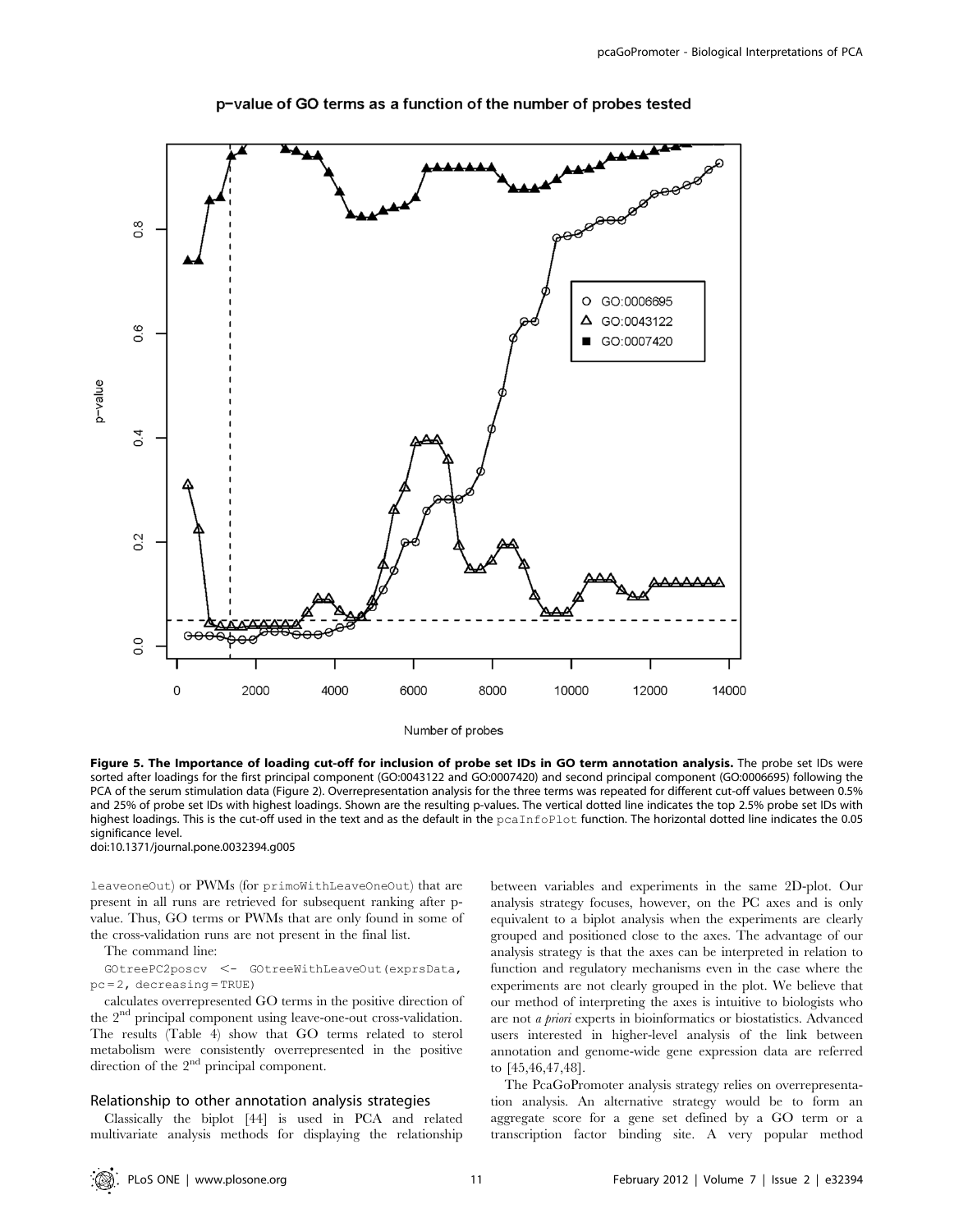

p-value of GO terms as a function of the number of probes tested

Number of probes

Figure 5. The Importance of loading cut-off for inclusion of probe set IDs in GO term annotation analysis. The probe set IDs were sorted after loadings for the first principal component (GO:0043122 and GO:0007420) and second principal component (GO:0006695) following the PCA of the serum stimulation data (Figure 2). Overrepresentation analysis for the three terms was repeated for different cut-off values between 0.5% and 25% of probe set IDs with highest loadings. Shown are the resulting p-values. The vertical dotted line indicates the top 2.5% probe set IDs with highest loadings. This is the cut-off used in the text and as the default in the pcaInfoPlot function. The horizontal dotted line indicates the 0.05 significance level.

doi:10.1371/journal.pone.0032394.g005

leaveoneOut) or PWMs (for primoWithLeaveOneOut) that are present in all runs are retrieved for subsequent ranking after pvalue. Thus, GO terms or PWMs that are only found in some of the cross-validation runs are not present in the final list.

### The command line:

GOtreePC2poscv <- GOtreeWithLeaveOut(exprsData, pc = 2, decreasing = TRUE)

calculates overrepresented GO terms in the positive direction of the 2<sup>nd</sup> principal component using leave-one-out cross-validation. The results (Table 4) show that GO terms related to sterol metabolism were consistently overrepresented in the positive direction of the  $2<sup>nd</sup>$  principal component.

### Relationship to other annotation analysis strategies

Classically the biplot [44] is used in PCA and related multivariate analysis methods for displaying the relationship between variables and experiments in the same 2D-plot. Our analysis strategy focuses, however, on the PC axes and is only equivalent to a biplot analysis when the experiments are clearly grouped and positioned close to the axes. The advantage of our analysis strategy is that the axes can be interpreted in relation to function and regulatory mechanisms even in the case where the experiments are not clearly grouped in the plot. We believe that our method of interpreting the axes is intuitive to biologists who are not a priori experts in bioinformatics or biostatistics. Advanced users interested in higher-level analysis of the link between annotation and genome-wide gene expression data are referred to [45,46,47,48].

The PcaGoPromoter analysis strategy relies on overrepresentation analysis. An alternative strategy would be to form an aggregate score for a gene set defined by a GO term or a transcription factor binding site. A very popular method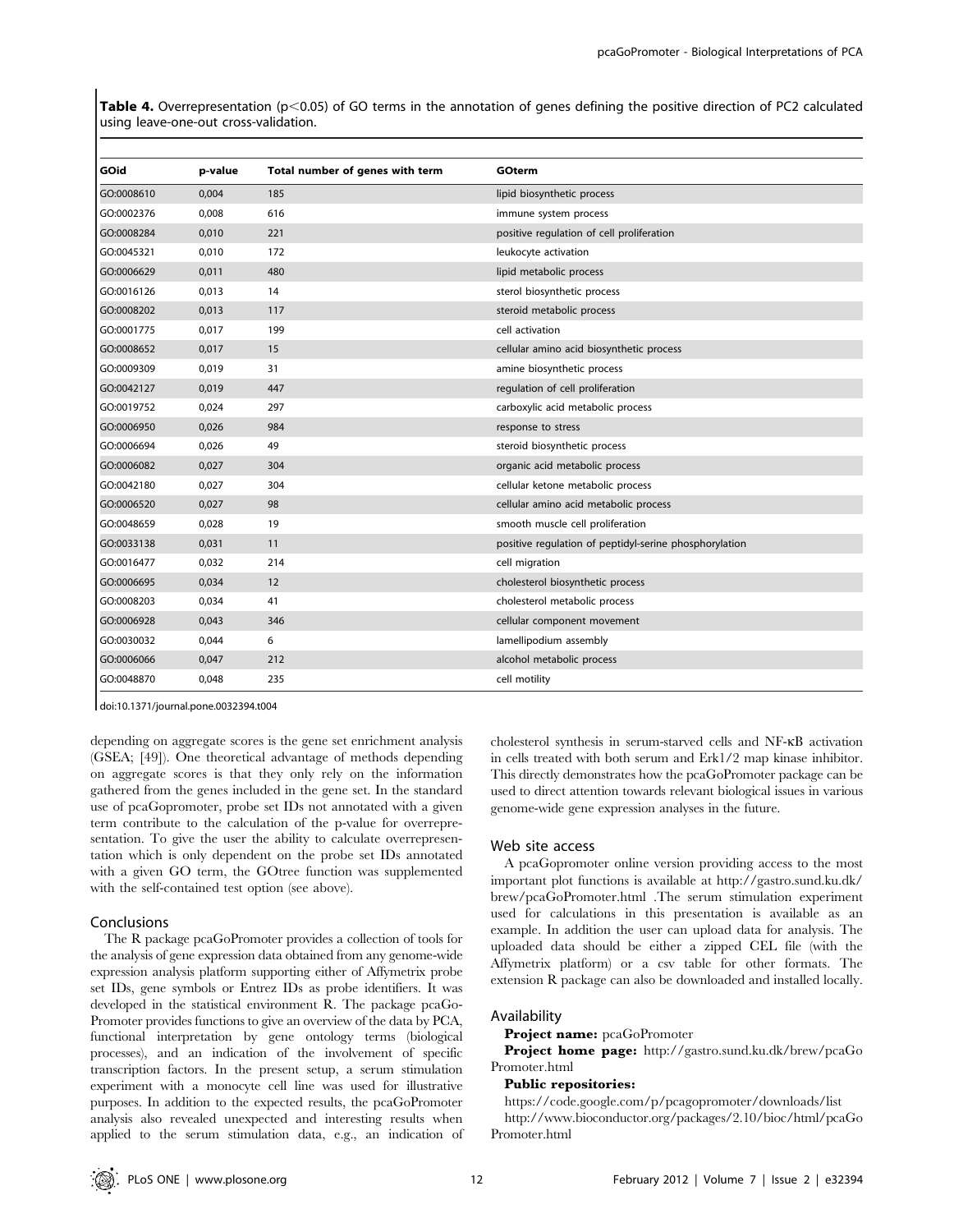Table 4. Overrepresentation ( $p<0.05$ ) of GO terms in the annotation of genes defining the positive direction of PC2 calculated using leave-one-out cross-validation.

| GOid       | p-value | Total number of genes with term | GOterm                                                 |
|------------|---------|---------------------------------|--------------------------------------------------------|
| GO:0008610 | 0,004   | 185                             | lipid biosynthetic process                             |
| GO:0002376 | 0,008   | 616                             | immune system process                                  |
| GO:0008284 | 0,010   | 221                             | positive regulation of cell proliferation              |
| GO:0045321 | 0,010   | 172                             | leukocyte activation                                   |
| GO:0006629 | 0,011   | 480                             | lipid metabolic process                                |
| GO:0016126 | 0,013   | 14                              | sterol biosynthetic process                            |
| GO:0008202 | 0,013   | 117                             | steroid metabolic process                              |
| GO:0001775 | 0,017   | 199                             | cell activation                                        |
| GO:0008652 | 0,017   | 15                              | cellular amino acid biosynthetic process               |
| GO:0009309 | 0,019   | 31                              | amine biosynthetic process                             |
| GO:0042127 | 0,019   | 447                             | regulation of cell proliferation                       |
| GO:0019752 | 0,024   | 297                             | carboxylic acid metabolic process                      |
| GO:0006950 | 0,026   | 984                             | response to stress                                     |
| GO:0006694 | 0,026   | 49                              | steroid biosynthetic process                           |
| GO:0006082 | 0,027   | 304                             | organic acid metabolic process                         |
| GO:0042180 | 0,027   | 304                             | cellular ketone metabolic process                      |
| GO:0006520 | 0,027   | 98                              | cellular amino acid metabolic process                  |
| GO:0048659 | 0,028   | 19                              | smooth muscle cell proliferation                       |
| GO:0033138 | 0,031   | 11                              | positive regulation of peptidyl-serine phosphorylation |
| GO:0016477 | 0,032   | 214                             | cell migration                                         |
| GO:0006695 | 0,034   | 12                              | cholesterol biosynthetic process                       |
| GO:0008203 | 0,034   | 41                              | cholesterol metabolic process                          |
| GO:0006928 | 0,043   | 346                             | cellular component movement                            |
| GO:0030032 | 0,044   | 6                               | lamellipodium assembly                                 |
| GO:0006066 | 0,047   | 212                             | alcohol metabolic process                              |
| GO:0048870 | 0,048   | 235                             | cell motility                                          |

doi:10.1371/journal.pone.0032394.t004

depending on aggregate scores is the gene set enrichment analysis (GSEA; [49]). One theoretical advantage of methods depending on aggregate scores is that they only rely on the information gathered from the genes included in the gene set. In the standard use of pcaGopromoter, probe set IDs not annotated with a given term contribute to the calculation of the p-value for overrepresentation. To give the user the ability to calculate overrepresentation which is only dependent on the probe set IDs annotated with a given GO term, the GOtree function was supplemented with the self-contained test option (see above).

### Conclusions

The R package pcaGoPromoter provides a collection of tools for the analysis of gene expression data obtained from any genome-wide expression analysis platform supporting either of Affymetrix probe set IDs, gene symbols or Entrez IDs as probe identifiers. It was developed in the statistical environment R. The package pcaGo-Promoter provides functions to give an overview of the data by PCA, functional interpretation by gene ontology terms (biological processes), and an indication of the involvement of specific transcription factors. In the present setup, a serum stimulation experiment with a monocyte cell line was used for illustrative purposes. In addition to the expected results, the pcaGoPromoter analysis also revealed unexpected and interesting results when applied to the serum stimulation data, e.g., an indication of cholesterol synthesis in serum-starved cells and NF-kB activation in cells treated with both serum and Erk1/2 map kinase inhibitor. This directly demonstrates how the pcaGoPromoter package can be used to direct attention towards relevant biological issues in various genome-wide gene expression analyses in the future.

### Web site access

A pcaGopromoter online version providing access to the most important plot functions is available at http://gastro.sund.ku.dk/ brew/pcaGoPromoter.html .The serum stimulation experiment used for calculations in this presentation is available as an example. In addition the user can upload data for analysis. The uploaded data should be either a zipped CEL file (with the Affymetrix platform) or a csv table for other formats. The extension R package can also be downloaded and installed locally.

#### Availability

Project name: pcaGoPromoter

Project home page: http://gastro.sund.ku.dk/brew/pcaGo Promoter.html

### Public repositories:

https://code.google.com/p/pcagopromoter/downloads/list http://www.bioconductor.org/packages/2.10/bioc/html/pcaGo Promoter.html